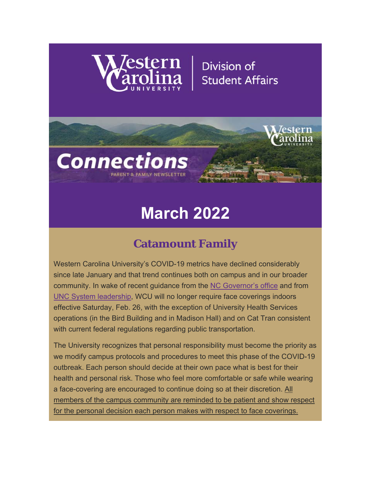

**Connections** 

# Division of **Student Affairs**



# **Catamount Family**

Western Carolina University's COVID-19 metrics have declined considerably since late January and that trend continues both on campus and in our broader community. In wake of recent guidance from the NC Governor's office and from UNC System leadership, WCU will no longer require face coverings indoors effective Saturday, Feb. 26, with the exception of University Health Services operations (in the Bird Building and in Madison Hall) and on Cat Tran consistent with current federal regulations regarding public transportation.

The University recognizes that personal responsibility must become the priority as we modify campus protocols and procedures to meet this phase of the COVID-19 outbreak. Each person should decide at their own pace what is best for their health and personal risk. Those who feel more comfortable or safe while wearing a face-covering are encouraged to continue doing so at their discretion. All members of the campus community are reminded to be patient and show respect for the personal decision each person makes with respect to face coverings.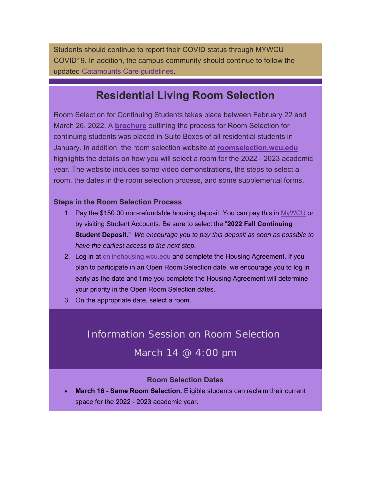Students should continue to report their COVID status through MYWCU COVID19. In addition, the campus community should continue to follow the updated Catamounts Care guidelines.

### **Residential Living Room Selection**

Room Selection for Continuing Students takes place between February 22 and March 26, 2022. A **brochure** outlining the process for Room Selection for continuing students was placed in Suite Boxes of all residential students in January. In addition, the room selection website at **roomselection.wcu.edu** highlights the details on how you will select a room for the 2022 - 2023 academic year. The website includes some video demonstrations, the steps to select a room, the dates in the room selection process, and some supplemental forms.

#### **Steps in the Room Selection Process**

- 1. Pay the \$150.00 non-refundable housing deposit. You can pay this in MyWCU or by visiting Student Accounts. Be sure to select the "**2022 Fall Continuing Student Deposit**." *We encourage you to pay this deposit as soon as possible to have the earliest access to the next step.*
- 2. Log in at onlinehousing.wcu.edu and complete the Housing Agreement. If you plan to participate in an Open Room Selection date, we encourage you to log in early as the date and time you complete the Housing Agreement will determine your priority in the Open Room Selection dates.
- 3. On the appropriate date, select a room.

#### Information Session on Room Selection

March 14 @ 4:00 pm

#### **Room Selection Dates**

 **March 16 - Same Room Selection.** Eligible students can reclaim their current space for the 2022 - 2023 academic year.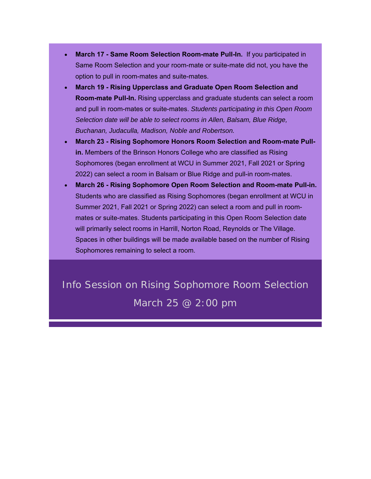- **March 17 Same Room Selection Room-mate Pull-In.** If you participated in Same Room Selection and your room-mate or suite-mate did not, you have the option to pull in room-mates and suite-mates.
- **March 19 Rising Upperclass and Graduate Open Room Selection and Room-mate Pull-In.** Rising upperclass and graduate students can select a room and pull in room-mates or suite-mates. *Students participating in this Open Room Selection date will be able to select rooms in Allen, Balsam, Blue Ridge, Buchanan, Judaculla, Madison, Noble and Robertson.*
- **March 23 Rising Sophomore Honors Room Selection and Room-mate Pullin.** Members of the Brinson Honors College who are classified as Rising Sophomores (began enrollment at WCU in Summer 2021, Fall 2021 or Spring 2022) can select a room in Balsam or Blue Ridge and pull-in room-mates.
- **March 26 Rising Sophomore Open Room Selection and Room-mate Pull-in.** Students who are classified as Rising Sophomores (began enrollment at WCU in Summer 2021, Fall 2021 or Spring 2022) can select a room and pull in roommates or suite-mates. Students participating in this Open Room Selection date will primarily select rooms in Harrill, Norton Road, Reynolds or The Village. Spaces in other buildings will be made available based on the number of Rising Sophomores remaining to select a room.

Info Session on Rising Sophomore Room Selection March 25 @ 2:00 pm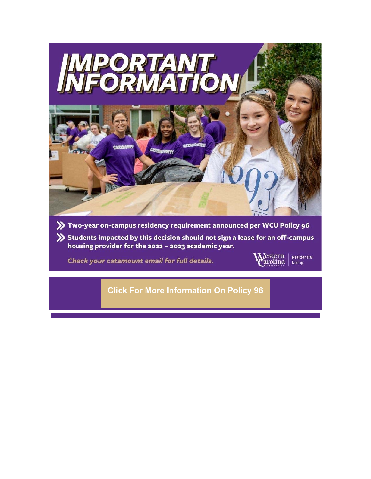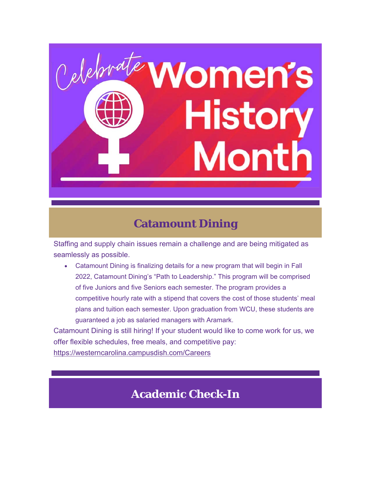

### **Catamount Dining**

Staffing and supply chain issues remain a challenge and are being mitigated as seamlessly as possible.

 Catamount Dining is finalizing details for a new program that will begin in Fall 2022, Catamount Dining's "Path to Leadership." This program will be comprised of five Juniors and five Seniors each semester. The program provides a competitive hourly rate with a stipend that covers the cost of those students' meal plans and tuition each semester. Upon graduation from WCU, these students are guaranteed a job as salaried managers with Aramark.

Catamount Dining is still hiring! If your student would like to come work for us, we offer flexible schedules, free meals, and competitive pay: https://westerncarolina.campusdish.com/Careers

# **Academic Check-In**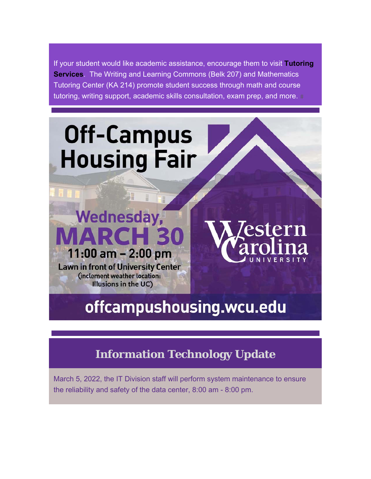If your student would like academic assistance, encourage them to visit **Tutoring Services**. The Writing and Learning Commons (Belk 207) and Mathematics Tutoring Center (KA 214) promote student success through math and course tutoring, writing support, academic skills consultation, exam prep, and more.



# offcampushousing.wcu.edu

# **Information Technology Update**

March 5, 2022, the IT Division staff will perform system maintenance to ensure the reliability and safety of the data center, 8:00 am - 8:00 pm.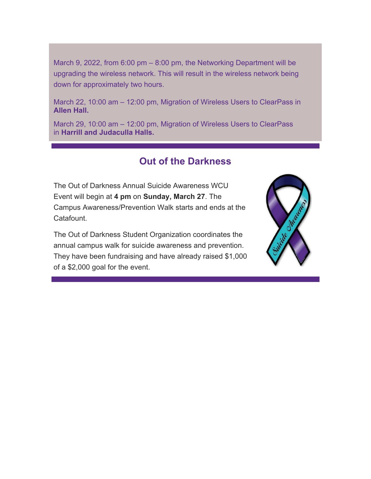March 9, 2022, from 6:00 pm – 8:00 pm, the Networking Department will be upgrading the wireless network. This will result in the wireless network being down for approximately two hours.

March 22, 10:00 am – 12:00 pm, Migration of Wireless Users to ClearPass in **Allen Hall.**

March 29, 10:00 am – 12:00 pm, Migration of Wireless Users to ClearPass in **Harrill and Judaculla Halls.**

#### **Out of the Darkness**

The Out of Darkness Annual Suicide Awareness WCU Event will begin at **4 pm** on **Sunday, March 27**. The Campus Awareness/Prevention Walk starts and ends at the Catafount.

The Out of Darkness Student Organization coordinates the annual campus walk for suicide awareness and prevention. They have been fundraising and have already raised \$1,000 of a \$2,000 goal for the event.

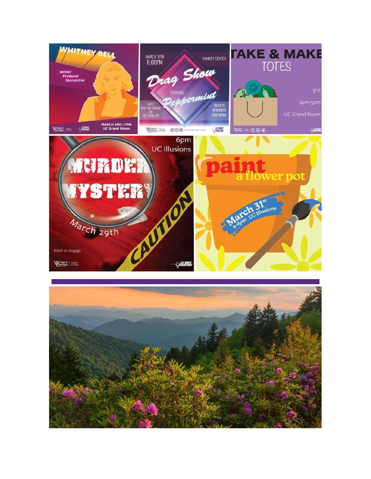